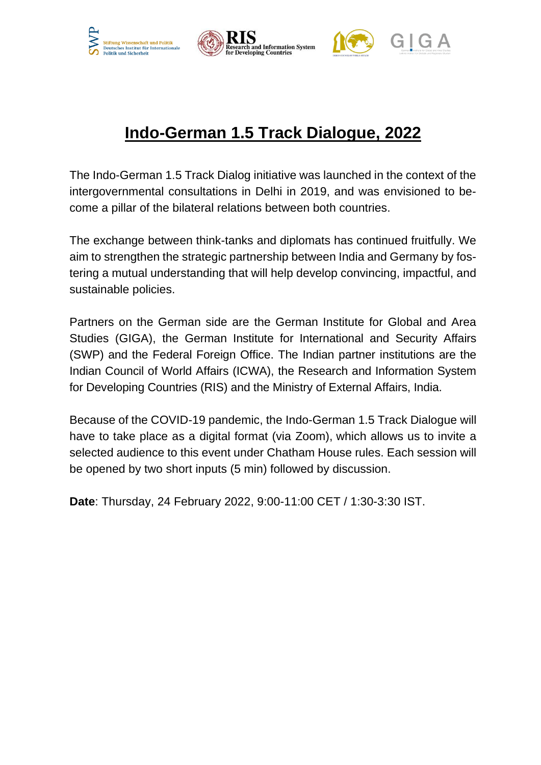





## **Indo-German 1.5 Track Dialogue, 2022**

The Indo-German 1.5 Track Dialog initiative was launched in the context of the intergovernmental consultations in Delhi in 2019, and was envisioned to become a pillar of the bilateral relations between both countries.

The exchange between think-tanks and diplomats has continued fruitfully. We aim to strengthen the strategic partnership between India and Germany by fostering a mutual understanding that will help develop convincing, impactful, and sustainable policies.

Partners on the German side are the German Institute for Global and Area Studies (GIGA), the German Institute for International and Security Affairs (SWP) and the Federal Foreign Office. The Indian partner institutions are the Indian Council of World Affairs (ICWA), the Research and Information System for Developing Countries (RIS) and the Ministry of External Affairs, India.

Because of the COVID-19 pandemic, the Indo-German 1.5 Track Dialogue will have to take place as a digital format (via Zoom), which allows us to invite a selected audience to this event under Chatham House rules. Each session will be opened by two short inputs (5 min) followed by discussion.

**Date**: Thursday, 24 February 2022, 9:00-11:00 CET / 1:30-3:30 IST.